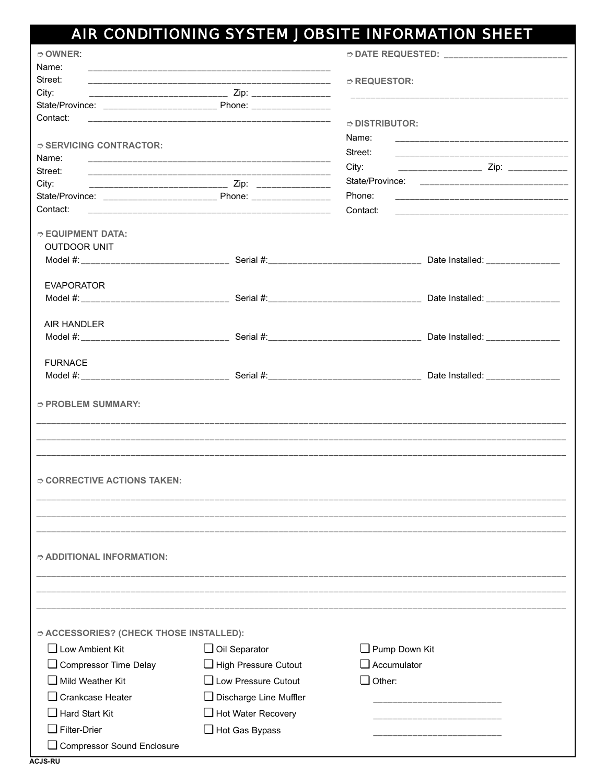## AIR CONDITIONING SYSTEM JOBSITE INFORMATION SHEET

| $\circ$ OWNER:                          |                                                            | <b>◇ DATE REQUESTED:</b> ____________________________ |                                                                                                                                                                                                                                      |
|-----------------------------------------|------------------------------------------------------------|-------------------------------------------------------|--------------------------------------------------------------------------------------------------------------------------------------------------------------------------------------------------------------------------------------|
| Name:                                   |                                                            |                                                       |                                                                                                                                                                                                                                      |
| Street:                                 |                                                            | $\circ$ REQUESTOR:                                    |                                                                                                                                                                                                                                      |
| City:                                   |                                                            |                                                       | <u> 1999 - John Harry Harry Harry Harry Harry Harry Harry Harry Harry Harry Harry Harry Harry Harry Harry Harry Harry Harry Harry Harry Harry Harry Harry Harry Harry Harry Harry Harry Harry Harry Harry Harry Harry Harry Harr</u> |
|                                         |                                                            |                                                       |                                                                                                                                                                                                                                      |
| Contact:                                |                                                            | $\circ$ DISTRIBUTOR:                                  |                                                                                                                                                                                                                                      |
|                                         |                                                            | Name:                                                 |                                                                                                                                                                                                                                      |
| $\circ$ SERVICING CONTRACTOR:           |                                                            | Street:                                               |                                                                                                                                                                                                                                      |
| Name:                                   |                                                            | City:                                                 | ____________________ Zip: _____________                                                                                                                                                                                              |
| Street:                                 |                                                            |                                                       |                                                                                                                                                                                                                                      |
| City:                                   | __________________________________ Zip: __________________ |                                                       |                                                                                                                                                                                                                                      |
| Contact:                                |                                                            | Phone:                                                |                                                                                                                                                                                                                                      |
|                                         |                                                            | Contact:                                              |                                                                                                                                                                                                                                      |
| $\circ$ EQUIPMENT DATA:                 |                                                            |                                                       |                                                                                                                                                                                                                                      |
| <b>OUTDOOR UNIT</b>                     |                                                            |                                                       |                                                                                                                                                                                                                                      |
|                                         |                                                            |                                                       |                                                                                                                                                                                                                                      |
|                                         |                                                            |                                                       |                                                                                                                                                                                                                                      |
| <b>EVAPORATOR</b>                       |                                                            |                                                       |                                                                                                                                                                                                                                      |
|                                         |                                                            |                                                       |                                                                                                                                                                                                                                      |
|                                         |                                                            |                                                       |                                                                                                                                                                                                                                      |
| <b>AIR HANDLER</b>                      |                                                            |                                                       |                                                                                                                                                                                                                                      |
|                                         |                                                            |                                                       |                                                                                                                                                                                                                                      |
| <b>FURNACE</b>                          |                                                            |                                                       |                                                                                                                                                                                                                                      |
|                                         |                                                            |                                                       |                                                                                                                                                                                                                                      |
|                                         |                                                            |                                                       |                                                                                                                                                                                                                                      |
| $\circ$ PROBLEM SUMMARY:                |                                                            |                                                       |                                                                                                                                                                                                                                      |
|                                         |                                                            |                                                       |                                                                                                                                                                                                                                      |
| $\circ$ CORRECTIVE ACTIONS TAKEN:       |                                                            |                                                       |                                                                                                                                                                                                                                      |
| $\hat{p}$ additional information:       |                                                            |                                                       |                                                                                                                                                                                                                                      |
|                                         |                                                            |                                                       |                                                                                                                                                                                                                                      |
| ○ ACCESSORIES? (CHECK THOSE INSTALLED): |                                                            |                                                       |                                                                                                                                                                                                                                      |
| $\Box$ Low Ambient Kit                  | $\Box$ Oil Separator                                       | Pump Down Kit                                         |                                                                                                                                                                                                                                      |
| Compressor Time Delay                   | High Pressure Cutout                                       | $\Box$ Accumulator                                    |                                                                                                                                                                                                                                      |
| Mild Weather Kit                        | $\Box$ Low Pressure Cutout                                 | $\Box$ Other:                                         |                                                                                                                                                                                                                                      |
| □ Crankcase Heater                      |                                                            |                                                       |                                                                                                                                                                                                                                      |
|                                         | Discharge Line Muffler                                     |                                                       |                                                                                                                                                                                                                                      |
| $\Box$ Hard Start Kit                   | Hot Water Recovery                                         |                                                       |                                                                                                                                                                                                                                      |
| Filter-Drier                            | $\Box$ Hot Gas Bypass                                      |                                                       |                                                                                                                                                                                                                                      |
| $\Box$ Compressor Sound Enclosure       |                                                            |                                                       |                                                                                                                                                                                                                                      |